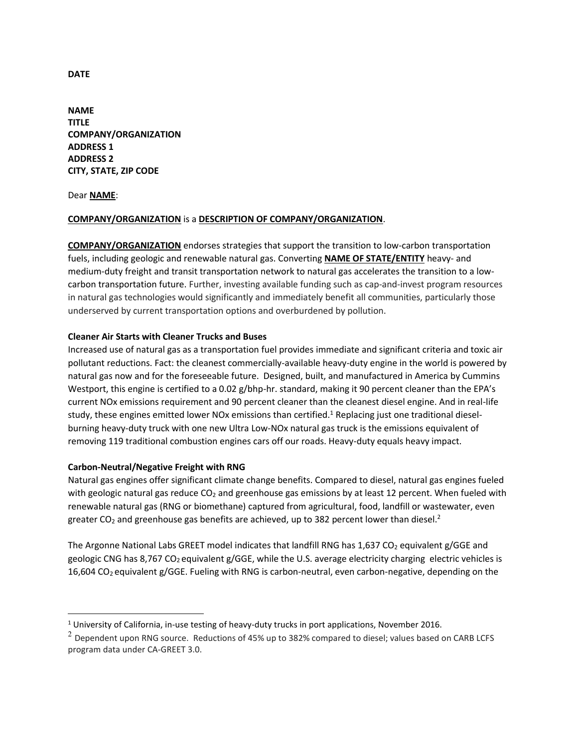**NAME TITLE COMPANY/ORGANIZATION ADDRESS 1 ADDRESS 2 CITY, STATE, ZIP CODE** 

Dear **NAME**:

l

## **COMPANY/ORGANIZATION** is a **DESCRIPTION OF COMPANY/ORGANIZATION**.

**COMPANY/ORGANIZATION** endorses strategies that support the transition to low-carbon transportation fuels, including geologic and renewable natural gas. Converting **NAME OF STATE/ENTITY** heavy- and medium-duty freight and transit transportation network to natural gas accelerates the transition to a lowcarbon transportation future. Further, investing available funding such as cap-and-invest program resources in natural gas technologies would significantly and immediately benefit all communities, particularly those underserved by current transportation options and overburdened by pollution.

## **Cleaner Air Starts with Cleaner Trucks and Buses**

Increased use of natural gas as a transportation fuel provides immediate and significant criteria and toxic air pollutant reductions. Fact: the cleanest commercially-available heavy-duty engine in the world is powered by natural gas now and for the foreseeable future. Designed, built, and manufactured in America by Cummins Westport, this engine is certified to a 0.02 g/bhp-hr. standard, making it 90 percent cleaner than the EPA's current NOx emissions requirement and 90 percent cleaner than the cleanest diesel engine. And in real-life study, these engines emitted lower NOx emissions than certified.<sup>1</sup> Replacing just one traditional dieselburning heavy-duty truck with one new Ultra Low-NOx natural gas truck is the emissions equivalent of removing 119 traditional combustion engines cars off our roads. Heavy-duty equals heavy impact.

### **Carbon-Neutral/Negative Freight with RNG**

Natural gas engines offer significant climate change benefits. Compared to diesel, natural gas engines fueled with geologic natural gas reduce CO<sub>2</sub> and greenhouse gas emissions by at least 12 percent. When fueled with renewable natural gas (RNG or biomethane) captured from agricultural, food, landfill or wastewater, even greater CO<sub>2</sub> and greenhouse gas benefits are achieved, up to 382 percent lower than diesel.<sup>2</sup>

The Argonne National Labs GREET model indicates that landfill RNG has  $1,637$  CO<sub>2</sub> equivalent g/GGE and geologic CNG has 8,767 CO<sub>2</sub> equivalent g/GGE, while the U.S. average electricity charging electric vehicles is 16,604 CO2 equivalent g/GGE. Fueling with RNG is carbon-neutral, even carbon-negative, depending on the

**DATE**

 $<sup>1</sup>$  University of California, in-use testing of heavy-duty trucks in port applications, November 2016.</sup>

 $2$  Dependent upon RNG source. Reductions of 45% up to 382% compared to diesel; values based on CARB LCFS program data under CA-GREET 3.0.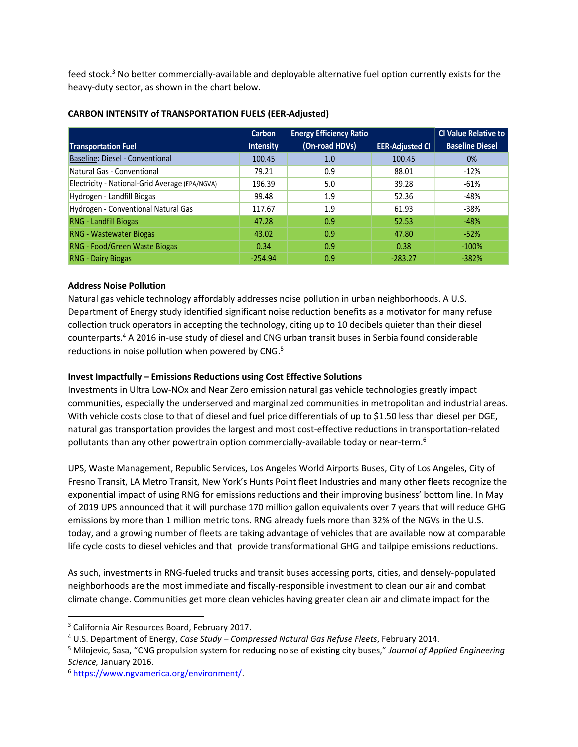feed stock.<sup>3</sup> No better commercially-available and deployable alternative fuel option currently exists for the heavy-duty sector, as shown in the chart below.

|                                                | <b>Carbon</b>    | <b>Energy Efficiency Ratio</b> |                        | <b>CI Value Relative to</b> |
|------------------------------------------------|------------------|--------------------------------|------------------------|-----------------------------|
| <b>Transportation Fuel</b>                     | <b>Intensity</b> | (On-road HDVs)                 | <b>EER-Adjusted CI</b> | <b>Baseline Diesel</b>      |
| Baseline: Diesel - Conventional                | 100.45           | 1.0                            | 100.45                 | $0\%$                       |
| Natural Gas - Conventional                     | 79.21            | 0.9                            | 88.01                  | $-12%$                      |
| Electricity - National-Grid Average (EPA/NGVA) | 196.39           | 5.0                            | 39.28                  | $-61%$                      |
| Hydrogen - Landfill Biogas                     | 99.48            | 1.9                            | 52.36                  | -48%                        |
| Hydrogen - Conventional Natural Gas            | 117.67           | 1.9                            | 61.93                  | $-38%$                      |
| <b>RNG - Landfill Biogas</b>                   | 47.28            | 0.9                            | 52.53                  | $-48%$                      |
| <b>RNG - Wastewater Biogas</b>                 | 43.02            | 0.9                            | 47.80                  | $-52%$                      |
| RNG - Food/Green Waste Biogas                  | 0.34             | 0.9                            | 0.38                   | $-100%$                     |
| <b>RNG - Dairy Biogas</b>                      | $-254.94$        | 0.9                            | $-283.27$              | $-382%$                     |

## **CARBON INTENSITY of TRANSPORTATION FUELS (EER-Adjusted)**

## **Address Noise Pollution**

Natural gas vehicle technology affordably addresses noise pollution in urban neighborhoods. A U.S. Department of Energy study identified significant noise reduction benefits as a motivator for many refuse collection truck operators in accepting the technology, citing up to 10 decibels quieter than their diesel counterparts.<sup>4</sup> A 2016 in-use study of diesel and CNG urban transit buses in Serbia found considerable reductions in noise pollution when powered by CNG.<sup>5</sup>

# **Invest Impactfully – Emissions Reductions using Cost Effective Solutions**

Investments in Ultra Low-NOx and Near Zero emission natural gas vehicle technologies greatly impact communities, especially the underserved and marginalized communities in metropolitan and industrial areas. With vehicle costs close to that of diesel and fuel price differentials of up to \$1.50 less than diesel per DGE, natural gas transportation provides the largest and most cost-effective reductions in transportation-related pollutants than any other powertrain option commercially-available today or near-term.<sup>6</sup>

UPS, Waste Management, Republic Services, Los Angeles World Airports Buses, City of Los Angeles, City of Fresno Transit, LA Metro Transit, New York's Hunts Point fleet Industries and many other fleets recognize the exponential impact of using RNG for emissions reductions and their improving business' bottom line. In May of 2019 UPS announced that it will purchase 170 million gallon equivalents over 7 years that will reduce GHG emissions by more than 1 million metric tons. RNG already fuels more than 32% of the NGVs in the U.S. today, and a growing number of fleets are taking advantage of vehicles that are available now at comparable life cycle costs to diesel vehicles and that provide transformational GHG and tailpipe emissions reductions.

As such, investments in RNG-fueled trucks and transit buses accessing ports, cities, and densely-populated neighborhoods are the most immediate and fiscally-responsible investment to clean our air and combat climate change. Communities get more clean vehicles having greater clean air and climate impact for the

l

<sup>&</sup>lt;sup>3</sup> California Air Resources Board, February 2017.

<sup>4</sup> U.S. Department of Energy, *Case Study – Compressed Natural Gas Refuse Fleets*, February 2014.

<sup>5</sup> Milojevic, Sasa, "CNG propulsion system for reducing noise of existing city buses," *Journal of Applied Engineering Science,* January 2016.

<sup>6</sup> [https://www.ngvamerica.org/environment/.](https://www.ngvamerica.org/environment/)